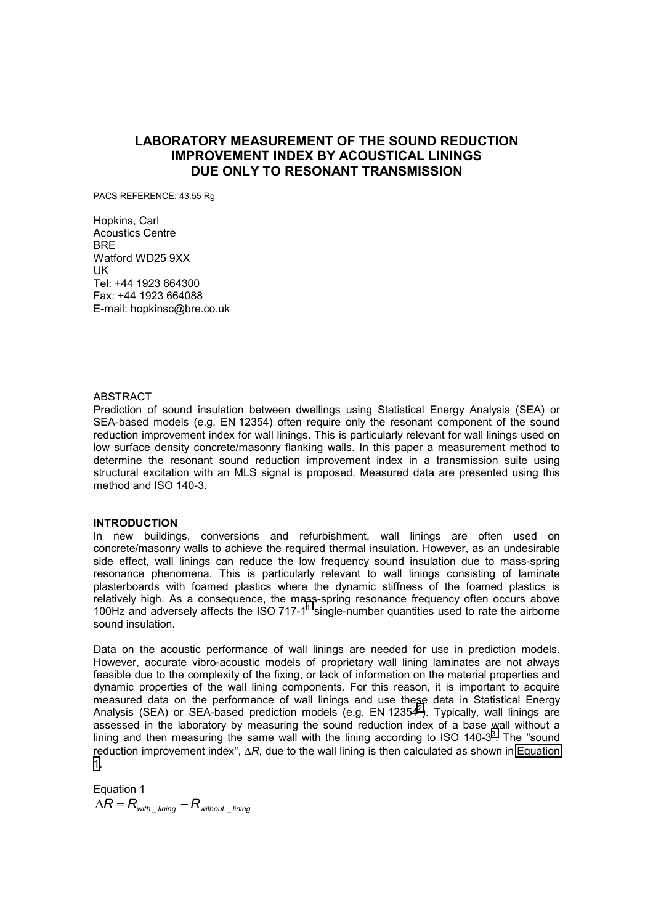# **LABORATORY MEASUREMENT OF THE SOUND REDUCTION IMPROVEMENT INDEX BY ACOUSTICAL LININGS DUE ONLY TO RESONANT TRANSMISSION**

PACS REFERENCE: 43.55 Rg

Hopkins, Carl Acoustics Centre BRE Watford WD25 9XX UK Tel: +44 1923 664300 Fax: +44 1923 664088 E-mail: hopkinsc@bre.co.uk

#### ABSTRACT

Prediction of sound insulation between dwellings using Statistical Energy Analysis (SEA) or SEA-based models (e.g. EN 12354) often require only the resonant component of the sound reduction improvement index for wall linings. This is particularly relevant for wall linings used on low surface density concrete/masonry flanking walls. In this paper a measurement method to determine the resonant sound reduction improvement index in a transmission suite using structural excitation with an MLS signal is proposed. Measured data are presented using this method and ISO 140-3.

#### **INTRODUCTION**

In new buildings, conversions and refurbishment, wall linings are often used on concrete/masonry walls to achieve the required thermal insulation. However, as an undesirable side effect, wall linings can reduce the low frequency sound insulation due to mass-spring resonance phenomena. This is particularly relevant to wall linings consisting of laminate plasterboards with foamed plastics where the dynamic stiffness of the foamed plastics is relatively high. As a consequence, the mass-spring resonance frequency often occurs above [1](#page-5-0)00Hz and adversely affects the ISO 717-1 $^1$  single-number quantities used to rate the airborne sound insulation.

Data on the acoustic performance of wall linings are needed for use in prediction models. However, accurate vibro-acoustic models of proprietary wall lining laminates are not always feasible due to the complexity of the fixing, or lack of information on the material properties and dynamic properties of the wall lining components. For this reason, it is important to acquire measured data on the performance of wall linings and use these data in Statistical Energy Analysis (SEA) or SEA-based prediction models (e.g. EN 12354<sup>2</sup>). Typically, wall linings are assessed in the laboratory by measuring the sound reduction index of a base wall without a lining and then measuring the same wall with the lining according to ISO 140-[3](#page-5-0) $3$ . The "sound reduction improvement index", ∆*R*, due to the wall lining is then calculated as shown in Equation 1.

Equation 1  $\Delta R = R_{\text{with}}$   $\Delta R = R_{\text{without}}$  *lining*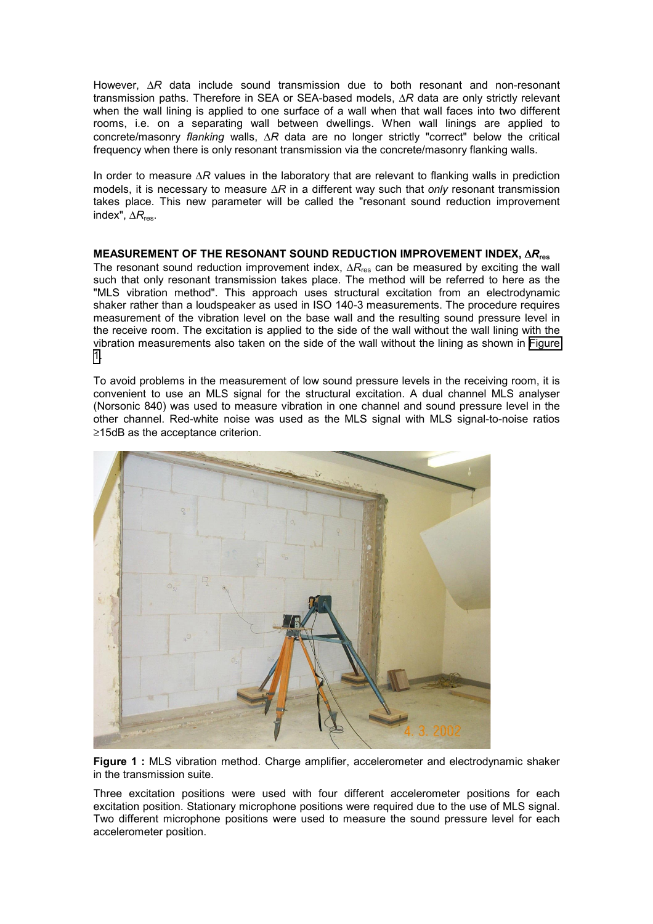However, ∆*R* data include sound transmission due to both resonant and non-resonant transmission paths. Therefore in SEA or SEA-based models, ∆*R* data are only strictly relevant when the wall lining is applied to one surface of a wall when that wall faces into two different rooms, i.e. on a separating wall between dwellings. When wall linings are applied to concrete/masonry *flanking* walls, ∆*R* data are no longer strictly "correct" below the critical frequency when there is only resonant transmission via the concrete/masonry flanking walls.

In order to measure ∆*R* values in the laboratory that are relevant to flanking walls in prediction models, it is necessary to measure ∆*R* in a different way such that *only* resonant transmission takes place. This new parameter will be called the "resonant sound reduction improvement index", ∆*R*res.

# **MEASUREMENT OF THE RESONANT SOUND REDUCTION IMPROVEMENT INDEX,** ∆*R***res**

The resonant sound reduction improvement index, ∆R<sub>res</sub> can be measured by exciting the wall such that only resonant transmission takes place. The method will be referred to here as the "MLS vibration method". This approach uses structural excitation from an electrodynamic shaker rather than a loudspeaker as used in ISO 140-3 measurements. The procedure requires measurement of the vibration level on the base wall and the resulting sound pressure level in the receive room. The excitation is applied to the side of the wall without the wall lining with the vibration measurements also taken on the side of the wall without the lining as shown in Figure 1.

To avoid problems in the measurement of low sound pressure levels in the receiving room, it is convenient to use an MLS signal for the structural excitation. A dual channel MLS analyser (Norsonic 840) was used to measure vibration in one channel and sound pressure level in the other channel. Red-white noise was used as the MLS signal with MLS signal-to-noise ratios ≥15dB as the acceptance criterion.



Figure 1 : MLS vibration method. Charge amplifier, accelerometer and electrodynamic shaker in the transmission suite.

Three excitation positions were used with four different accelerometer positions for each excitation position. Stationary microphone positions were required due to the use of MLS signal. Two different microphone positions were used to measure the sound pressure level for each accelerometer position.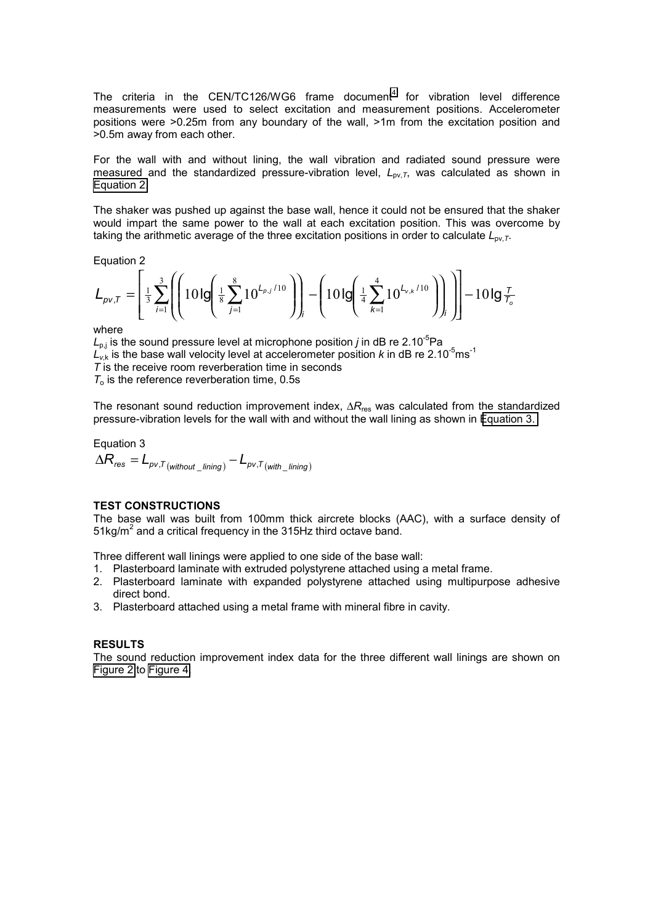The criteria in the CEN/TC126/WG6 frame document<sup>4</sup> for vibration level difference measurements were used to select excitation and measurement positions. Accelerometer positions were >0.25m from any boundary of the wall, >1m from the excitation position and >0.5m away from each other.

For the wall with and without lining, the wall vibration and radiated sound pressure were measured and the standardized pressure-vibration level, *L*pv,*T*, was calculated as shown in Equation 2.

The shaker was pushed up against the base wall, hence it could not be ensured that the shaker would impart the same power to the wall at each excitation position. This was overcome by taking the arithmetic average of the three excitation positions in order to calculate  $L_{\text{ov},T}$ .

Equation 2

$$
L_{\rho v,T} = \left[ \frac{1}{3} \sum_{i=1}^{3} \left( \left( 10 \lg \left( \frac{1}{8} \sum_{j=1}^{8} 10^{L_{\rho,j}/10} \right) \right) - \left( 10 \lg \left( \frac{1}{4} \sum_{k=1}^{4} 10^{L_{v,k}/10} \right) \right) \right) \right] - 10 \lg \frac{T}{T_o}
$$

where

 $L_{\text{o}i}$  is the sound pressure level at microphone position *j* in dB re 2.10<sup>-5</sup>Pa  $L_{v,k}$  is the base wall velocity level at accelerometer position *k* in dB re 2.10<sup>-5</sup>ms<sup>-1</sup> *T* is the receive room reverberation time in seconds  $T<sub>o</sub>$  is the reference reverberation time,  $0.5s$ 

The resonant sound reduction improvement index, ∆*R*res was calculated from the standardized pressure-vibration levels for the wall with and without the wall lining as shown in Equation 3.

Equation 3  
\n
$$
\Delta R_{res} = L_{pv,T(\text{without\_lining})} - L_{pv,T(\text{with\_lining})}
$$

#### **TEST CONSTRUCTIONS**

The base wall was built from 100mm thick aircrete blocks (AAC), with a surface density of 51kg/m<sup>2</sup> and a critical frequency in the 315Hz third octave band.

Three different wall linings were applied to one side of the base wall:

- 1. Plasterboard laminate with extruded polystyrene attached using a metal frame.
- 2. Plasterboard laminate with expanded polystyrene attached using multipurpose adhesive direct bond.
- 3. Plasterboard attached using a metal frame with mineral fibre in cavity.

### **RESULTS**

The sound reduction improvement index data for the three different wall linings are shown on [Figure 2](#page-3-0) to [Figure 4.](#page-4-0)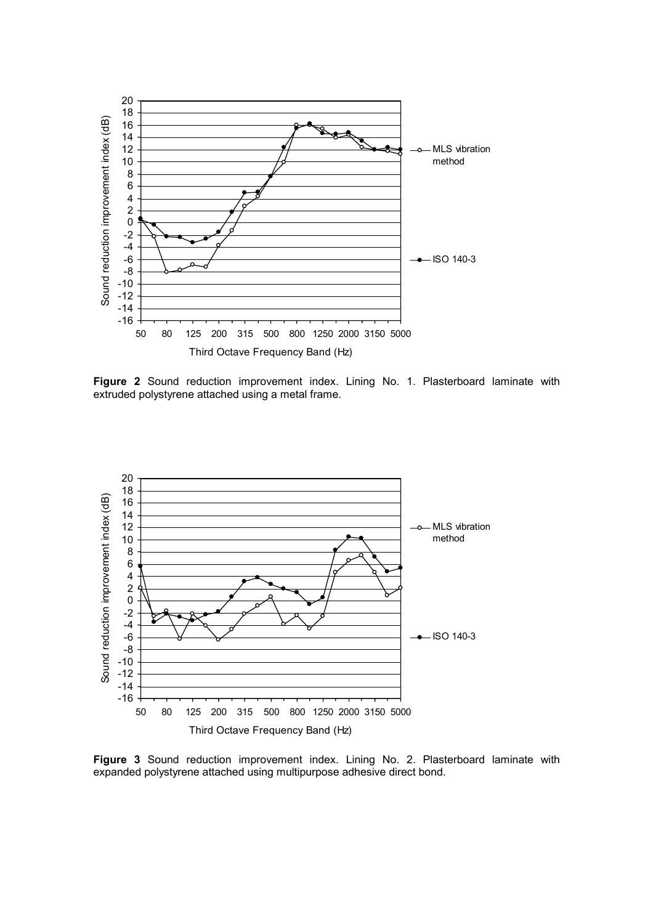<span id="page-3-0"></span>

**Figure 2** Sound reduction improvement index. Lining No. 1. Plasterboard laminate with extruded polystyrene attached using a metal frame.



**Figure 3** Sound reduction improvement index. Lining No. 2. Plasterboard laminate with expanded polystyrene attached using multipurpose adhesive direct bond.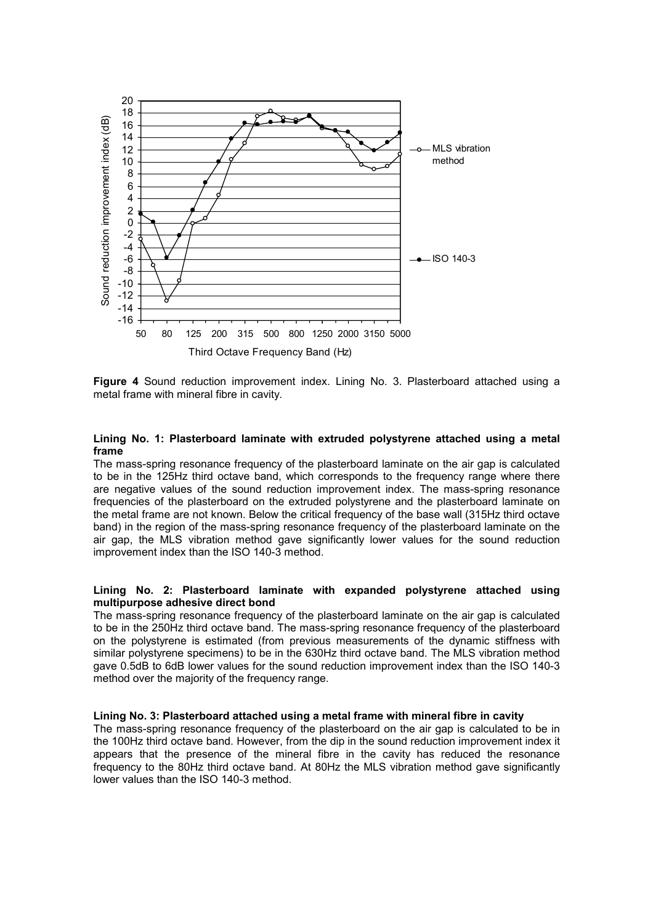<span id="page-4-0"></span>

**Figure 4** Sound reduction improvement index. Lining No. 3. Plasterboard attached using a metal frame with mineral fibre in cavity.

#### **Lining No. 1: Plasterboard laminate with extruded polystyrene attached using a metal frame**

The mass-spring resonance frequency of the plasterboard laminate on the air gap is calculated to be in the 125Hz third octave band, which corresponds to the frequency range where there are negative values of the sound reduction improvement index. The mass-spring resonance frequencies of the plasterboard on the extruded polystyrene and the plasterboard laminate on the metal frame are not known. Below the critical frequency of the base wall (315Hz third octave band) in the region of the mass-spring resonance frequency of the plasterboard laminate on the air gap, the MLS vibration method gave significantly lower values for the sound reduction improvement index than the ISO 140-3 method.

#### **Lining No. 2: Plasterboard laminate with expanded polystyrene attached using multipurpose adhesive direct bond**

The mass-spring resonance frequency of the plasterboard laminate on the air gap is calculated to be in the 250Hz third octave band. The mass-spring resonance frequency of the plasterboard on the polystyrene is estimated (from previous measurements of the dynamic stiffness with similar polystyrene specimens) to be in the 630Hz third octave band. The MLS vibration method gave 0.5dB to 6dB lower values for the sound reduction improvement index than the ISO 140-3 method over the majority of the frequency range.

#### **Lining No. 3: Plasterboard attached using a metal frame with mineral fibre in cavity**

The mass-spring resonance frequency of the plasterboard on the air gap is calculated to be in the 100Hz third octave band. However, from the dip in the sound reduction improvement index it appears that the presence of the mineral fibre in the cavity has reduced the resonance frequency to the 80Hz third octave band. At 80Hz the MLS vibration method gave significantly lower values than the ISO 140-3 method.